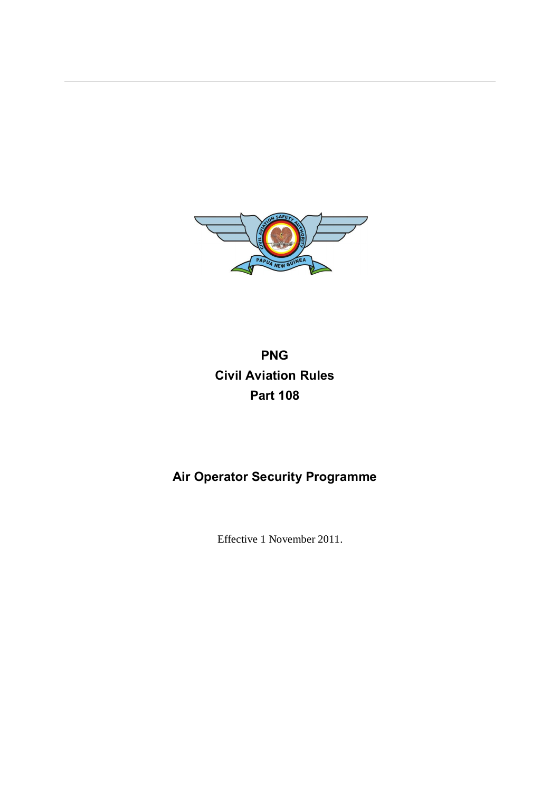

# **PNG Civil Aviation Rules Part 108**

# **Air Operator Security Programme**

Effective 1 November 2011.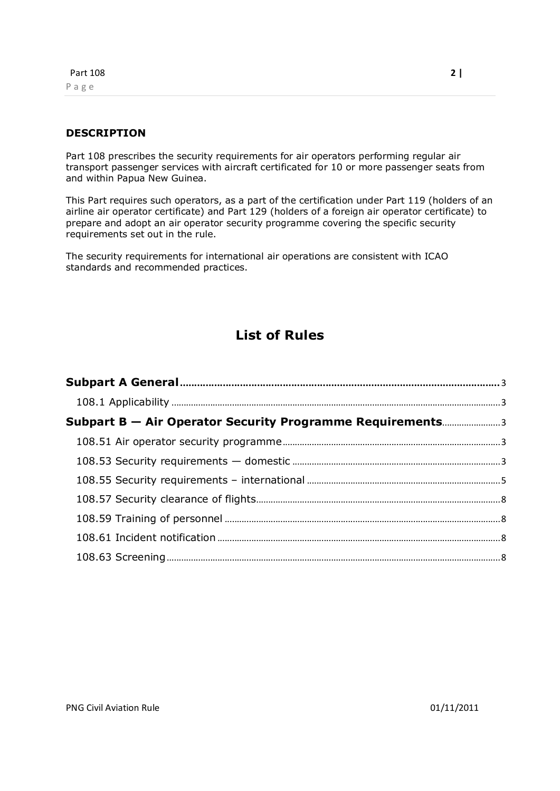### **DESCRIPTION**

Part 108 prescribes the security requirements for air operators performing regular air transport passenger services with aircraft certificated for 10 or more passenger seats from and within Papua New Guinea.

This Part requires such operators, as a part of the certification under Part 119 (holders of an airline air operator certificate) and Part 129 (holders of a foreign air operator certificate) to prepare and adopt an air operator security programme covering the specific security requirements set out in the rule.

The security requirements for international air operations are consistent with ICAO standards and recommended practices.

# **List of Rules**

| <b>Subpart B – Air Operator Security Programme Requirements3</b> |  |
|------------------------------------------------------------------|--|
|                                                                  |  |
|                                                                  |  |
|                                                                  |  |
|                                                                  |  |
|                                                                  |  |
|                                                                  |  |
|                                                                  |  |
|                                                                  |  |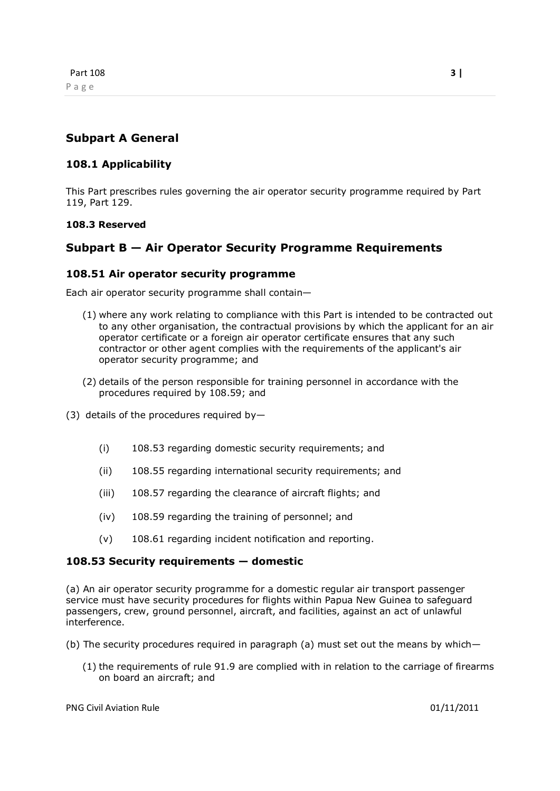# **Subpart A General**

## **108.1 Applicability**

This Part prescribes rules governing the air operator security programme required by Part 119, Part 129.

#### **108.3 Reserved**

# **Subpart B — Air Operator Security Programme Requirements**

### **108.51 Air operator security programme**

Each air operator security programme shall contain—

- (1) where any work relating to compliance with this Part is intended to be contracted out to any other organisation, the contractual provisions by which the applicant for an air operator certificate or a foreign air operator certificate ensures that any such contractor or other agent complies with the requirements of the applicant's air operator security programme; and
- (2) details of the person responsible for training personnel in accordance with the procedures required by 108.59; and
- (3) details of the procedures required by—
	- (i) 108.53 regarding domestic security requirements; and
	- (ii) 108.55 regarding international security requirements; and
	- (iii) 108.57 regarding the clearance of aircraft flights; and
	- (iv) 108.59 regarding the training of personnel; and
	- (v) 108.61 regarding incident notification and reporting.

#### **108.53 Security requirements — domestic**

(a) An air operator security programme for a domestic regular air transport passenger service must have security procedures for flights within Papua New Guinea to safeguard passengers, crew, ground personnel, aircraft, and facilities, against an act of unlawful interference.

- <span id="page-2-3"></span><span id="page-2-2"></span><span id="page-2-1"></span><span id="page-2-0"></span>(b) The security procedures required in paragraph (a) must set out the means by which—
	- (1) the requirements of rule 91.9 are complied with in relation to the carriage of firearms on board an aircraft; and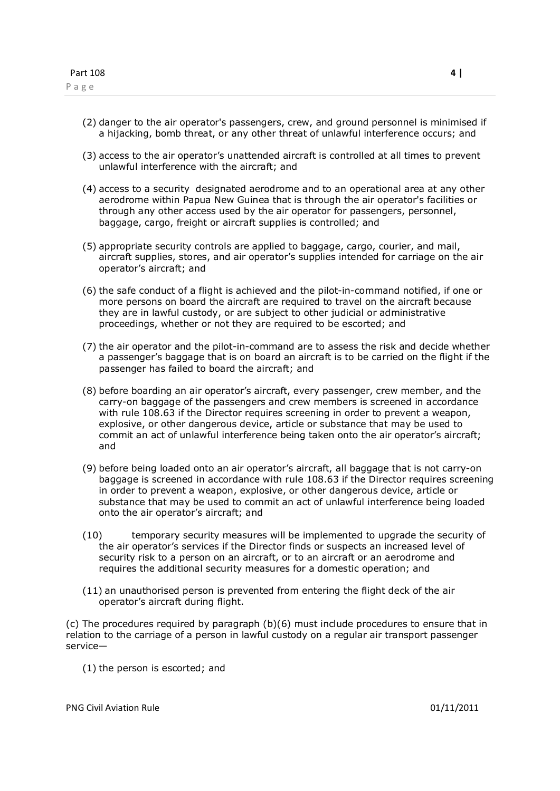- (2) danger to the air operator's passengers, crew, and ground personnel is minimised if a hijacking, bomb threat, or any other threat of unlawful interference occurs; and
- (3) access to the air operator's unattended aircraft is controlled at all times to prevent unlawful interference with the aircraft; and
- (4) access to a security designated aerodrome and to an operational area at any other aerodrome within Papua New Guinea that is through the air operator's facilities or through any other access used by the air operator for passengers, personnel, baggage, cargo, freight or aircraft supplies is controlled; and
- (5) appropriate security controls are applied to baggage, cargo, courier, and mail, aircraft supplies, stores, and air operator's supplies intended for carriage on the air operator's aircraft; and
- (6) the safe conduct of a flight is achieved and the pilot-in-command notified, if one or more persons on board the aircraft are required to travel on the aircraft because they are in lawful custody, or are subject to other judicial or administrative proceedings, whether or not they are required to be escorted; and
- (7) the air operator and the pilot-in-command are to assess the risk and decide whether a passenger's baggage that is on board an aircraft is to be carried on the flight if the passenger has failed to board the aircraft; and
- (8) before boarding an air operator's aircraft, every passenger, crew member, and the carry-on baggage of the passengers and crew members is screened in accordance with rule 108.63 if the Director requires screening in order to prevent a weapon, explosive, or other dangerous device, article or substance that may be used to commit an act of unlawful interference being taken onto the air operator's aircraft; and
- (9) before being loaded onto an air operator's aircraft, all baggage that is not carry-on baggage is screened in accordance with rule 108.63 if the Director requires screening in order to prevent a weapon, explosive, or other dangerous device, article or substance that may be used to commit an act of unlawful interference being loaded onto the air operator's aircraft; and
- (10) temporary security measures will be implemented to upgrade the security of the air operator's services if the Director finds or suspects an increased level of security risk to a person on an aircraft, or to an aircraft or an aerodrome and requires the additional security measures for a domestic operation; and
- (11) an unauthorised person is prevented from entering the flight deck of the air operator's aircraft during flight.

(c) The procedures required by paragraph (b)(6) must include procedures to ensure that in relation to the carriage of a person in lawful custody on a regular air transport passenger service—

(1) the person is escorted; and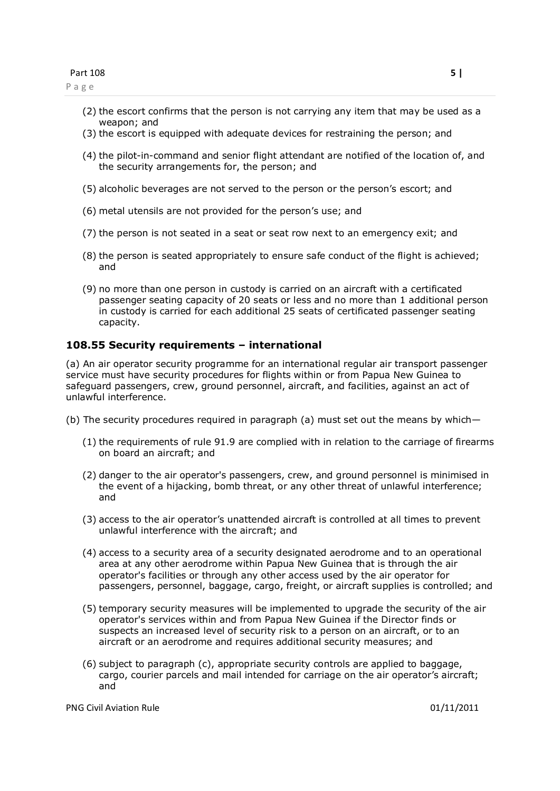- (2) the escort confirms that the person is not carrying any item that may be used as a weapon; and
- (3) the escort is equipped with adequate devices for restraining the person; and
- (4) the pilot-in-command and senior flight attendant are notified of the location of, and the security arrangements for, the person; and
- (5) alcoholic beverages are not served to the person or the person's escort; and
- (6) metal utensils are not provided for the person's use; and
- (7) the person is not seated in a seat or seat row next to an emergency exit; and
- (8) the person is seated appropriately to ensure safe conduct of the flight is achieved; and
- (9) no more than one person in custody is carried on an aircraft with a certificated passenger seating capacity of 20 seats or less and no more than 1 additional person in custody is carried for each additional 25 seats of certificated passenger seating capacity.

#### **108.55 Security requirements – international**

(a) An air operator security programme for an international regular air transport passenger service must have security procedures for flights within or from Papua New Guinea to safeguard passengers, crew, ground personnel, aircraft, and facilities, against an act of unlawful interference.

- (b) The security procedures required in paragraph (a) must set out the means by which—
	- (1) the requirements of rule 91.9 are complied with in relation to the carriage of firearms on board an aircraft; and
	- (2) danger to the air operator's passengers, crew, and ground personnel is minimised in the event of a hijacking, bomb threat, or any other threat of unlawful interference; and
	- (3) access to the air operator's unattended aircraft is controlled at all times to prevent unlawful interference with the aircraft; and
	- (4) access to a security area of a security designated aerodrome and to an operational area at any other aerodrome within Papua New Guinea that is through the air operator's facilities or through any other access used by the air operator for passengers, personnel, baggage, cargo, freight, or aircraft supplies is controlled; and
	- (5) temporary security measures will be implemented to upgrade the security of the air operator's services within and from Papua New Guinea if the Director finds or suspects an increased level of security risk to a person on an aircraft, or to an aircraft or an aerodrome and requires additional security measures; and
	- (6) subject to paragraph (c), appropriate security controls are applied to baggage, cargo, courier parcels and mail intended for carriage on the air operator's aircraft; and

<span id="page-4-0"></span>PNG Civil Aviation Rule 01/11/2011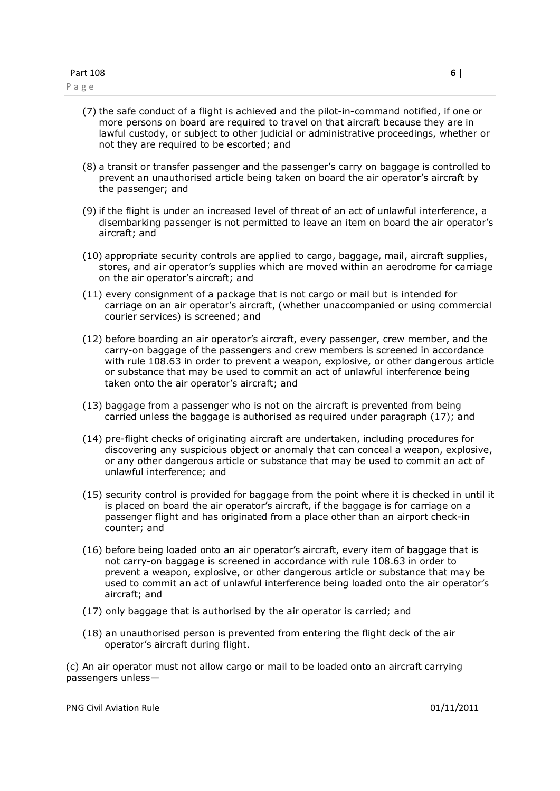- (7) the safe conduct of a flight is achieved and the pilot-in-command notified, if one or more persons on board are required to travel on that aircraft because they are in lawful custody, or subject to other judicial or administrative proceedings, whether or not they are required to be escorted; and
- (8) a transit or transfer passenger and the passenger's carry on baggage is controlled to prevent an unauthorised article being taken on board the air operator's aircraft by the passenger; and
- (9) if the flight is under an increased level of threat of an act of unlawful interference, a disembarking passenger is not permitted to leave an item on board the air operator's aircraft; and
- (10) appropriate security controls are applied to cargo, baggage, mail, aircraft supplies, stores, and air operator's supplies which are moved within an aerodrome for carriage on the air operator's aircraft; and
- (11) every consignment of a package that is not cargo or mail but is intended for carriage on an air operator's aircraft, (whether unaccompanied or using commercial courier services) is screened; and
- (12) before boarding an air operator's aircraft, every passenger, crew member, and the carry-on baggage of the passengers and crew members is screened in accordance with rule 108.63 in order to prevent a weapon, explosive, or other dangerous article or substance that may be used to commit an act of unlawful interference being taken onto the air operator's aircraft; and
- (13) baggage from a passenger who is not on the aircraft is prevented from being carried unless the baggage is authorised as required under paragraph (17); and
- (14) pre-flight checks of originating aircraft are undertaken, including procedures for discovering any suspicious object or anomaly that can conceal a weapon, explosive, or any other dangerous article or substance that may be used to commit an act of unlawful interference; and
- (15) security control is provided for baggage from the point where it is checked in until it is placed on board the air operator's aircraft, if the baggage is for carriage on a passenger flight and has originated from a place other than an airport check-in counter; and
- (16) before being loaded onto an air operator's aircraft, every item of baggage that is not carry-on baggage is screened in accordance with rule 108.63 in order to prevent a weapon, explosive, or other dangerous article or substance that may be used to commit an act of unlawful interference being loaded onto the air operator's aircraft; and
- (17) only baggage that is authorised by the air operator is carried; and
- (18) an unauthorised person is prevented from entering the flight deck of the air operator's aircraft during flight.

(c) An air operator must not allow cargo or mail to be loaded onto an aircraft carrying passengers unless—

PNG Civil Aviation Rule 01/11/2011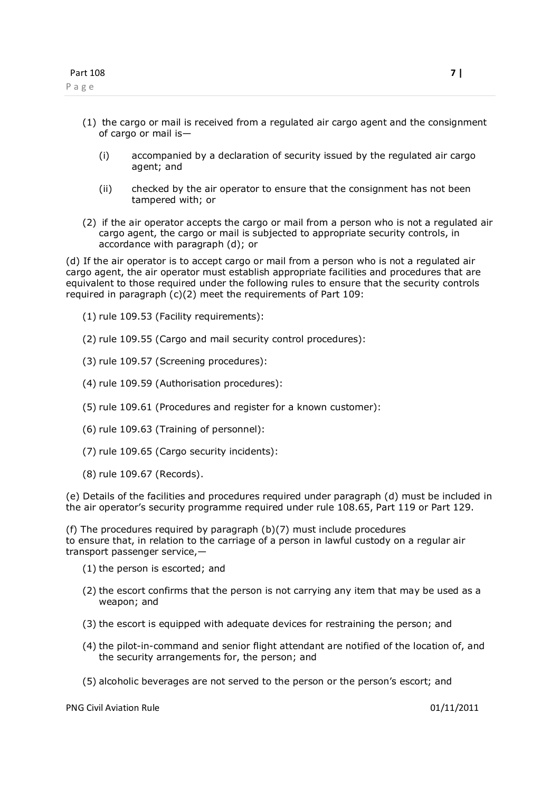- (1) the cargo or mail is received from a regulated air cargo agent and the consignment of cargo or mail is—
	- (i) accompanied by a declaration of security issued by the regulated air cargo agent; and
	- (ii) checked by the air operator to ensure that the consignment has not been tampered with; or
- (2) if the air operator accepts the cargo or mail from a person who is not a regulated air cargo agent, the cargo or mail is subjected to appropriate security controls, in accordance with paragraph (d); or

(d) If the air operator is to accept cargo or mail from a person who is not a regulated air cargo agent, the air operator must establish appropriate facilities and procedures that are equivalent to those required under the following rules to ensure that the security controls required in paragraph (c)(2) meet the requirements of Part 109:

- (1) rule 109.53 (Facility requirements):
- (2) rule 109.55 (Cargo and mail security control procedures):
- (3) rule 109.57 (Screening procedures):
- (4) rule 109.59 (Authorisation procedures):
- (5) rule 109.61 (Procedures and register for a known customer):
- (6) rule 109.63 (Training of personnel):
- (7) rule 109.65 (Cargo security incidents):
- (8) rule 109.67 (Records).

(e) Details of the facilities and procedures required under paragraph (d) must be included in the air operator's security programme required under rule 108.65, Part 119 or Part 129.

(f) The procedures required by paragraph (b)(7) must include procedures to ensure that, in relation to the carriage of a person in lawful custody on a regular air transport passenger service,—

- (1) the person is escorted; and
- (2) the escort confirms that the person is not carrying any item that may be used as a weapon; and
- (3) the escort is equipped with adequate devices for restraining the person; and
- (4) the pilot-in-command and senior flight attendant are notified of the location of, and the security arrangements for, the person; and
- (5) alcoholic beverages are not served to the person or the person's escort; and

PNG Civil Aviation Rule 01/11/2011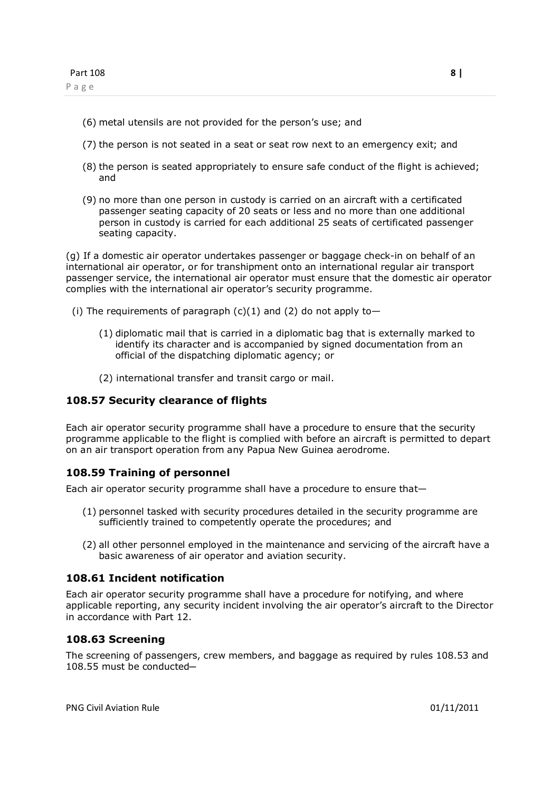- (6) metal utensils are not provided for the person's use; and
- (7) the person is not seated in a seat or seat row next to an emergency exit; and
- (8) the person is seated appropriately to ensure safe conduct of the flight is achieved; and
- (9) no more than one person in custody is carried on an aircraft with a certificated passenger seating capacity of 20 seats or less and no more than one additional person in custody is carried for each additional 25 seats of certificated passenger seating capacity.

(g) If a domestic air operator undertakes passenger or baggage check-in on behalf of an international air operator, or for transhipment onto an international regular air transport passenger service, the international air operator must ensure that the domestic air operator complies with the international air operator's security programme.

- (i) The requirements of paragraph  $(c)(1)$  and  $(2)$  do not apply to-
	- (1) diplomatic mail that is carried in a diplomatic bag that is externally marked to identify its character and is accompanied by signed documentation from an official of the dispatching diplomatic agency; or
	- (2) international transfer and transit cargo or mail.

### **108.57 Security clearance of flights**

Each air operator security programme shall have a procedure to ensure that the security programme applicable to the flight is complied with before an aircraft is permitted to depart on an air transport operation from any Papua New Guinea aerodrome.

#### **108.59 Training of personnel**

Each air operator security programme shall have a procedure to ensure that—

- (1) personnel tasked with security procedures detailed in the security programme are sufficiently trained to competently operate the procedures; and
- (2) all other personnel employed in the maintenance and servicing of the aircraft have a basic awareness of air operator and aviation security.

### **108.61 Incident notification**

Each air operator security programme shall have a procedure for notifying, and where applicable reporting, any security incident involving the air operator's aircraft to the Director in accordance with Part 12.

#### **108.63 Screening**

<span id="page-7-3"></span><span id="page-7-2"></span><span id="page-7-1"></span><span id="page-7-0"></span>The screening of passengers, crew members, and baggage as required by rules 108.53 and 108.55 must be conducted-